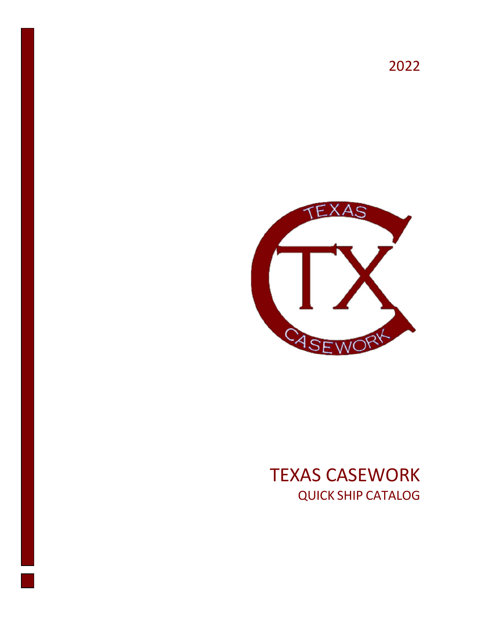2022



## TEXAS CASEWORK QUICK SHIP CATALOG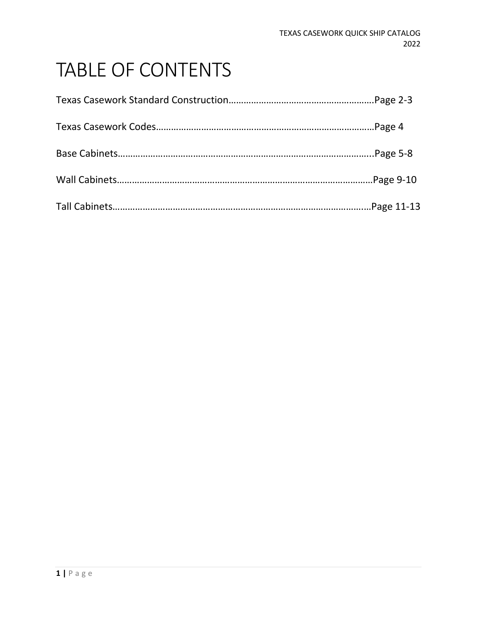# TABLE OF CONTENTS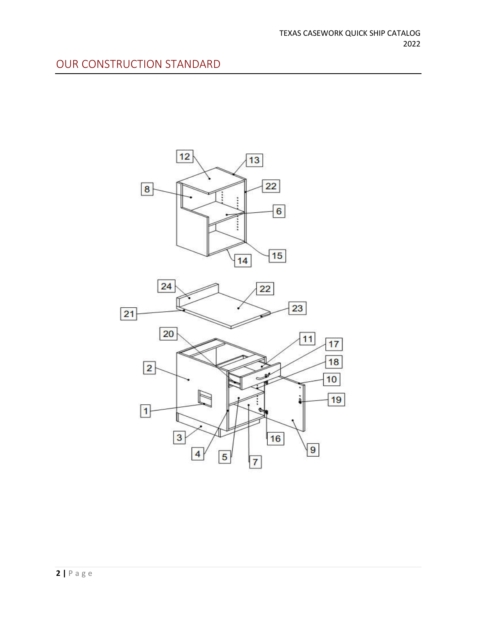### OUR CONSTRUCTION STANDARD

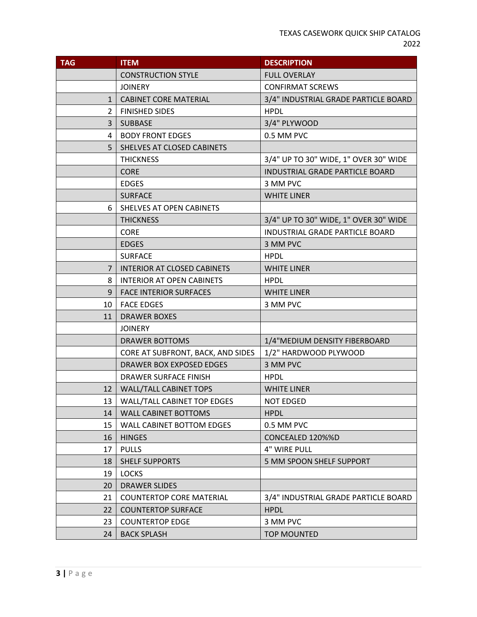| <b>TAG</b>    | <b>ITEM</b>                        | <b>DESCRIPTION</b>                    |  |
|---------------|------------------------------------|---------------------------------------|--|
|               | <b>CONSTRUCTION STYLE</b>          | <b>FULL OVERLAY</b>                   |  |
|               | <b>JOINERY</b>                     | <b>CONFIRMAT SCREWS</b>               |  |
| $\mathbf{1}$  | <b>CABINET CORE MATERIAL</b>       | 3/4" INDUSTRIAL GRADE PARTICLE BOARD  |  |
| $\mathcal{P}$ | <b>FINISHED SIDES</b>              | <b>HPDL</b>                           |  |
| 3             | <b>SUBBASE</b>                     | 3/4" PLYWOOD                          |  |
| 4             | <b>BODY FRONT EDGES</b>            | 0.5 MM PVC                            |  |
| 5             | SHELVES AT CLOSED CABINETS         |                                       |  |
|               | <b>THICKNESS</b>                   | 3/4" UP TO 30" WIDE, 1" OVER 30" WIDE |  |
|               | <b>CORE</b>                        | INDUSTRIAL GRADE PARTICLE BOARD       |  |
|               | <b>EDGES</b>                       | 3 MM PVC                              |  |
|               | <b>SURFACE</b>                     | <b>WHITE LINER</b>                    |  |
| 6             | SHELVES AT OPEN CABINETS           |                                       |  |
|               | <b>THICKNESS</b>                   | 3/4" UP TO 30" WIDE, 1" OVER 30" WIDE |  |
|               | <b>CORE</b>                        | INDUSTRIAL GRADE PARTICLE BOARD       |  |
|               | <b>EDGES</b>                       | 3 MM PVC                              |  |
|               | <b>SURFACE</b>                     | <b>HPDL</b>                           |  |
| 7             | <b>INTERIOR AT CLOSED CABINETS</b> | <b>WHITE LINER</b>                    |  |
| 8             | <b>INTERIOR AT OPEN CABINETS</b>   | <b>HPDL</b>                           |  |
| 9             | <b>FACE INTERIOR SURFACES</b>      | <b>WHITE LINER</b>                    |  |
| 10            | <b>FACE EDGES</b>                  | 3 MM PVC                              |  |
| 11            | <b>DRAWER BOXES</b>                |                                       |  |
|               | <b>JOINERY</b>                     |                                       |  |
|               | DRAWER BOTTOMS                     | 1/4"MEDIUM DENSITY FIBERBOARD         |  |
|               | CORE AT SUBFRONT, BACK, AND SIDES  | 1/2" HARDWOOD PLYWOOD                 |  |
|               | <b>DRAWER BOX EXPOSED EDGES</b>    | 3 MM PVC                              |  |
|               | DRAWER SURFACE FINISH              | <b>HPDL</b>                           |  |
| 12            | <b>WALL/TALL CABINET TOPS</b>      | <b>WHITE LINER</b>                    |  |
|               | 13   WALL/TALL CABINET TOP EDGES   | <b>NOT EDGED</b>                      |  |
| 14            | <b>WALL CABINET BOTTOMS</b>        | <b>HPDL</b>                           |  |
| 15            | <b>WALL CABINET BOTTOM EDGES</b>   | 0.5 MM PVC                            |  |
| 16            | <b>HINGES</b>                      | CONCEALED 120%%D                      |  |
| 17            | <b>PULLS</b>                       | 4" WIRE PULL                          |  |
| 18            | <b>SHELF SUPPORTS</b>              | 5 MM SPOON SHELF SUPPORT              |  |
| 19            | <b>LOCKS</b>                       |                                       |  |
| 20            | DRAWER SLIDES                      |                                       |  |
| 21            | <b>COUNTERTOP CORE MATERIAL</b>    | 3/4" INDUSTRIAL GRADE PARTICLE BOARD  |  |
| 22            | <b>COUNTERTOP SURFACE</b>          | <b>HPDL</b>                           |  |
| 23            | <b>COUNTERTOP EDGE</b>             | 3 MM PVC                              |  |
| 24            | <b>BACK SPLASH</b>                 | <b>TOP MOUNTED</b>                    |  |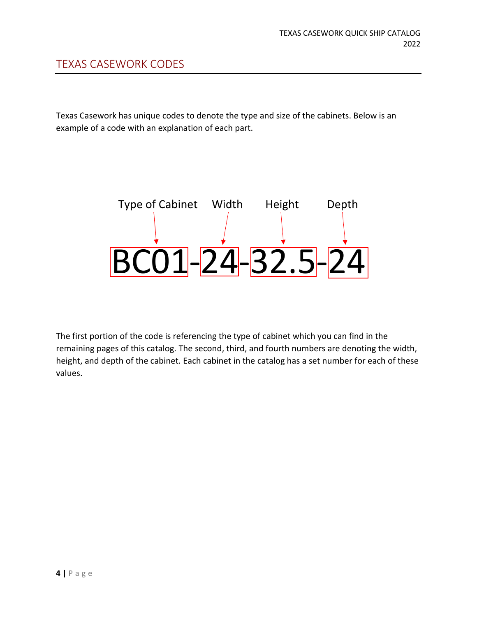Texas Casework has unique codes to denote the type and size of the cabinets. Below is an example of a code with an explanation of each part.



The first portion of the code is referencing the type of cabinet which you can find in the remaining pages of this catalog. The second, third, and fourth numbers are denoting the width, height, and depth of the cabinet. Each cabinet in the catalog has a set number for each of these values.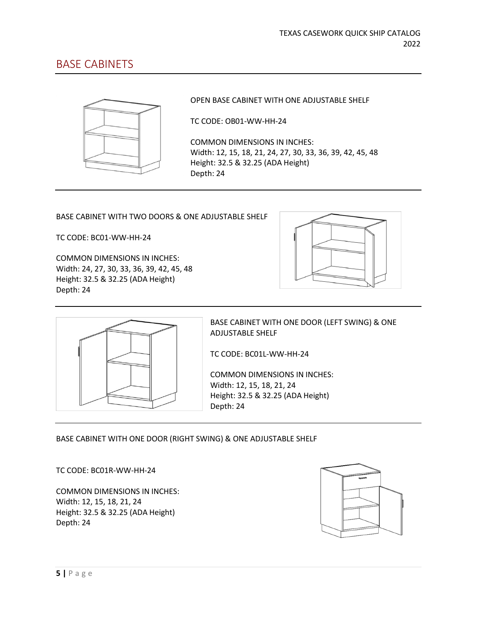### BASE CABINETS



OPEN BASE CABINET WITH ONE ADJUSTABLE SHELF

TC CODE: OB01-WW-HH-24

COMMON DIMENSIONS IN INCHES: Width: 12, 15, 18, 21, 24, 27, 30, 33, 36, 39, 42, 45, 48 Height: 32.5 & 32.25 (ADA Height) Depth: 24

BASE CABINET WITH TWO DOORS & ONE ADJUSTABLE SHELF

TC CODE: BC01-WW-HH-24

COMMON DIMENSIONS IN INCHES: Width: 24, 27, 30, 33, 36, 39, 42, 45, 48 Height: 32.5 & 32.25 (ADA Height) Depth: 24





BASE CABINET WITH ONE DOOR (LEFT SWING) & ONE ADJUSTABLE SHELF

TC CODE: BC01L-WW-HH-24

COMMON DIMENSIONS IN INCHES: Width: 12, 15, 18, 21, 24 Height: 32.5 & 32.25 (ADA Height) Depth: 24

BASE CABINET WITH ONE DOOR (RIGHT SWING) & ONE ADJUSTABLE SHELF

TC CODE: BC01R-WW-HH-24

COMMON DIMENSIONS IN INCHES: Width: 12, 15, 18, 21, 24 Height: 32.5 & 32.25 (ADA Height) Depth: 24

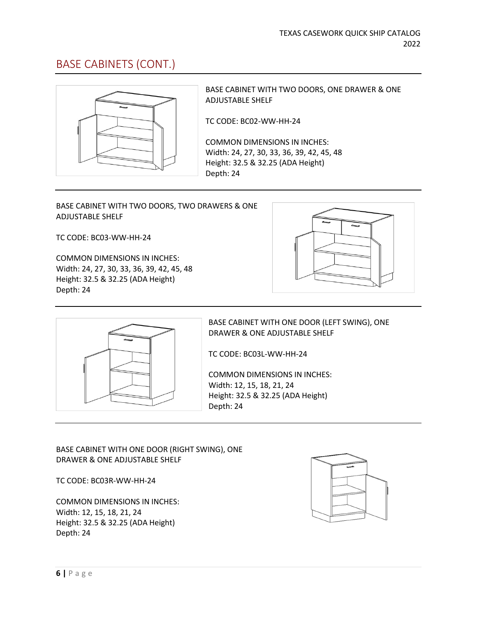### BASE CABINETS (CONT.)



BASE CABINET WITH TWO DOORS, ONE DRAWER & ONE ADJUSTABLE SHELF

TC CODE: BC02-WW-HH-24

COMMON DIMENSIONS IN INCHES: Width: 24, 27, 30, 33, 36, 39, 42, 45, 48 Height: 32.5 & 32.25 (ADA Height) Depth: 24

#### BASE CABINET WITH TWO DOORS, TWO DRAWERS & ONE ADJUSTABLE SHELF

TC CODE: BC03-WW-HH-24

COMMON DIMENSIONS IN INCHES: Width: 24, 27, 30, 33, 36, 39, 42, 45, 48 Height: 32.5 & 32.25 (ADA Height) Depth: 24





BASE CABINET WITH ONE DOOR (LEFT SWING), ONE DRAWER & ONE ADJUSTABLE SHELF

TC CODE: BC03L-WW-HH-24

COMMON DIMENSIONS IN INCHES: Width: 12, 15, 18, 21, 24 Height: 32.5 & 32.25 (ADA Height) Depth: 24

#### BASE CABINET WITH ONE DOOR (RIGHT SWING), ONE DRAWER & ONE ADJUSTABLE SHELF

TC CODE: BC03R-WW-HH-24

COMMON DIMENSIONS IN INCHES: Width: 12, 15, 18, 21, 24 Height: 32.5 & 32.25 (ADA Height) Depth: 24

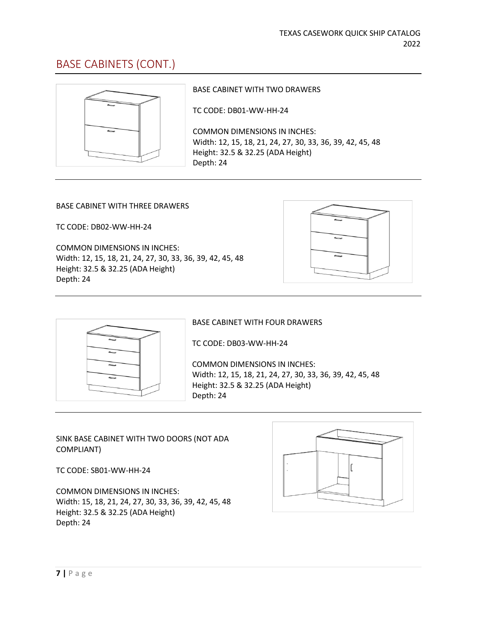### BASE CABINETS (CONT.)



BASE CABINET WITH TWO DRAWERS

TC CODE: DB01-WW-HH-24

COMMON DIMENSIONS IN INCHES: Width: 12, 15, 18, 21, 24, 27, 30, 33, 36, 39, 42, 45, 48 Height: 32.5 & 32.25 (ADA Height) Depth: 24

#### BASE CABINET WITH THREE DRAWERS

TC CODE: DB02-WW-HH-24

COMMON DIMENSIONS IN INCHES: Width: 12, 15, 18, 21, 24, 27, 30, 33, 36, 39, 42, 45, 48 Height: 32.5 & 32.25 (ADA Height) Depth: 24





BASE CABINET WITH FOUR DRAWERS

TC CODE: DB03-WW-HH-24

COMMON DIMENSIONS IN INCHES: Width: 12, 15, 18, 21, 24, 27, 30, 33, 36, 39, 42, 45, 48 Height: 32.5 & 32.25 (ADA Height) Depth: 24

SINK BASE CABINET WITH TWO DOORS (NOT ADA COMPLIANT)

TC CODE: SB01-WW-HH-24

COMMON DIMENSIONS IN INCHES: Width: 15, 18, 21, 24, 27, 30, 33, 36, 39, 42, 45, 48 Height: 32.5 & 32.25 (ADA Height) Depth: 24

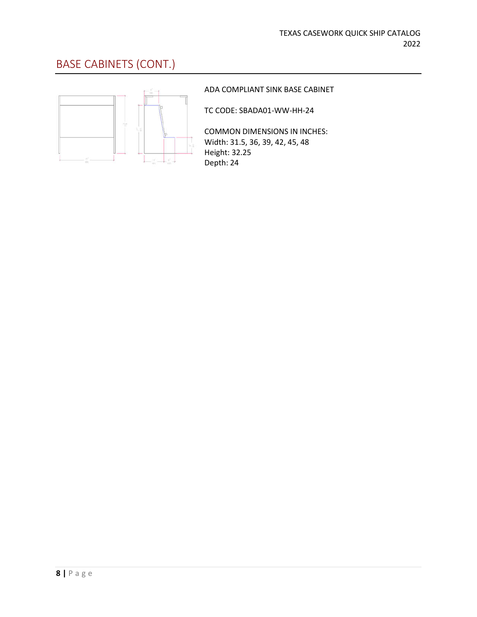### BASE CABINETS (CONT.)



#### ADA COMPLIANT SINK BASE CABINET

TC CODE: SBADA01-WW-HH-24

COMMON DIMENSIONS IN INCHES: Width: 31.5, 36, 39, 42, 45, 48 Height: 32.25 Depth: 24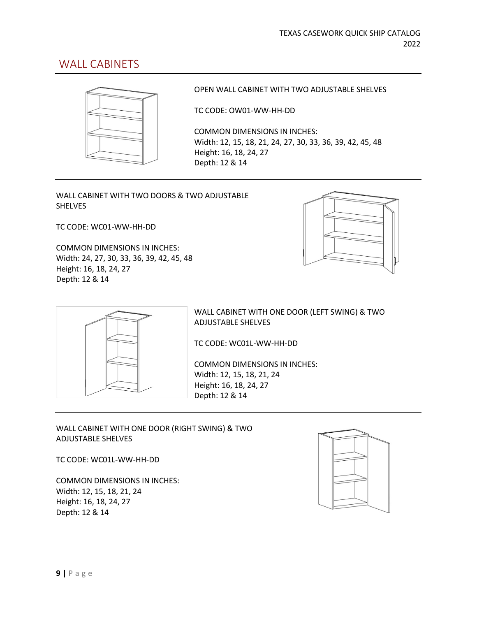### WALL CABINETS



OPEN WALL CABINET WITH TWO ADJUSTABLE SHELVES

TC CODE: OW01-WW-HH-DD

COMMON DIMENSIONS IN INCHES: Width: 12, 15, 18, 21, 24, 27, 30, 33, 36, 39, 42, 45, 48 Height: 16, 18, 24, 27 Depth: 12 & 14

WALL CABINET WITH TWO DOORS & TWO ADJUSTABLE **SHELVES** 

TC CODE: WC01-WW-HH-DD

COMMON DIMENSIONS IN INCHES: Width: 24, 27, 30, 33, 36, 39, 42, 45, 48 Height: 16, 18, 24, 27 Depth: 12 & 14





WALL CABINET WITH ONE DOOR (LEFT SWING) & TWO ADJUSTABLE SHELVES

TC CODE: WC01L-WW-HH-DD

COMMON DIMENSIONS IN INCHES: Width: 12, 15, 18, 21, 24 Height: 16, 18, 24, 27 Depth: 12 & 14

WALL CABINET WITH ONE DOOR (RIGHT SWING) & TWO ADJUSTABLE SHELVES

TC CODE: WC01L-WW-HH-DD

COMMON DIMENSIONS IN INCHES: Width: 12, 15, 18, 21, 24 Height: 16, 18, 24, 27 Depth: 12 & 14

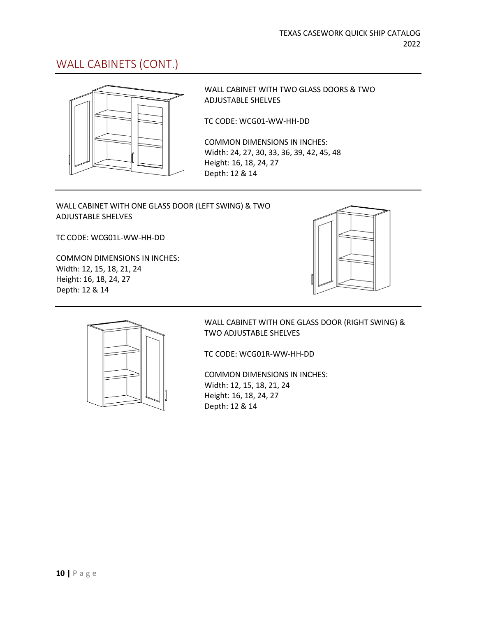### WALL CABINETS (CONT.)



WALL CABINET WITH TWO GLASS DOORS & TWO ADJUSTABLE SHELVES

TC CODE: WCG01-WW-HH-DD

COMMON DIMENSIONS IN INCHES: Width: 24, 27, 30, 33, 36, 39, 42, 45, 48 Height: 16, 18, 24, 27 Depth: 12 & 14

#### WALL CABINET WITH ONE GLASS DOOR (LEFT SWING) & TWO ADJUSTABLE SHELVES

TC CODE: WCG01L-WW-HH-DD

COMMON DIMENSIONS IN INCHES: Width: 12, 15, 18, 21, 24 Height: 16, 18, 24, 27 Depth: 12 & 14





WALL CABINET WITH ONE GLASS DOOR (RIGHT SWING) & TWO ADJUSTABLE SHELVES

TC CODE: WCG01R-WW-HH-DD

COMMON DIMENSIONS IN INCHES: Width: 12, 15, 18, 21, 24 Height: 16, 18, 24, 27 Depth: 12 & 14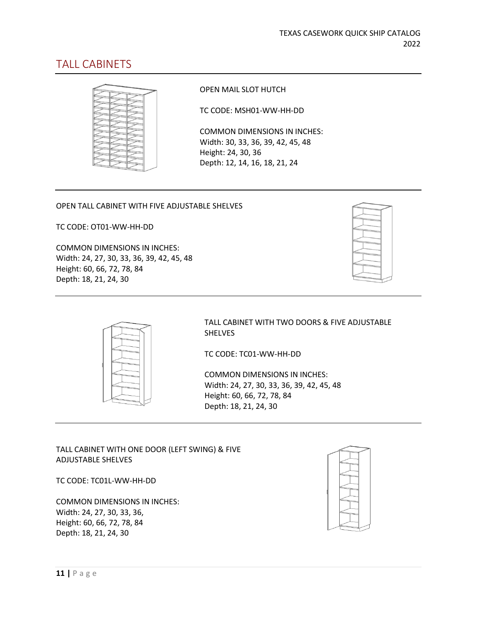### TALL CABINETS



OPEN MAIL SLOT HUTCH

TC CODE: MSH01-WW-HH-DD

COMMON DIMENSIONS IN INCHES: Width: 30, 33, 36, 39, 42, 45, 48 Height: 24, 30, 36 Depth: 12, 14, 16, 18, 21, 24

#### OPEN TALL CABINET WITH FIVE ADJUSTABLE SHELVES

TC CODE: OT01-WW-HH-DD

COMMON DIMENSIONS IN INCHES: Width: 24, 27, 30, 33, 36, 39, 42, 45, 48 Height: 60, 66, 72, 78, 84 Depth: 18, 21, 24, 30



TALL CABINET WITH TWO DOORS & FIVE ADJUSTABLE SHELVES

TC CODE: TC01-WW-HH-DD

COMMON DIMENSIONS IN INCHES: Width: 24, 27, 30, 33, 36, 39, 42, 45, 48 Height: 60, 66, 72, 78, 84 Depth: 18, 21, 24, 30

#### TALL CABINET WITH ONE DOOR (LEFT SWING) & FIVE ADJUSTABLE SHELVES

TC CODE: TC01L-WW-HH-DD

COMMON DIMENSIONS IN INCHES: Width: 24, 27, 30, 33, 36, Height: 60, 66, 72, 78, 84 Depth: 18, 21, 24, 30

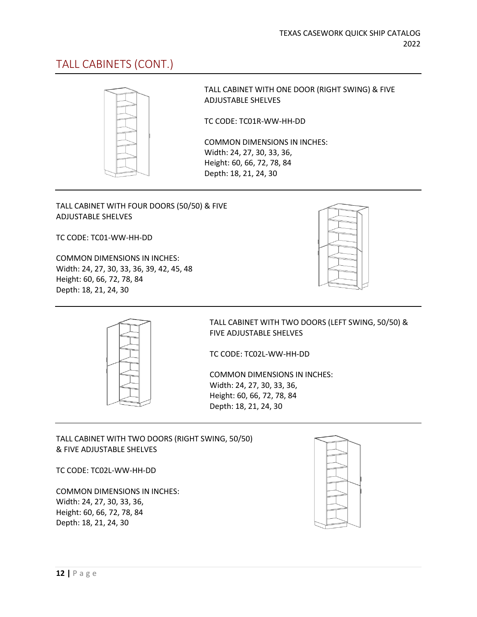### TALL CABINETS (CONT.)



TALL CABINET WITH ONE DOOR (RIGHT SWING) & FIVE ADJUSTABLE SHELVES

TC CODE: TC01R-WW-HH-DD

COMMON DIMENSIONS IN INCHES: Width: 24, 27, 30, 33, 36, Height: 60, 66, 72, 78, 84 Depth: 18, 21, 24, 30

#### TALL CABINET WITH FOUR DOORS (50/50) & FIVE ADJUSTABLE SHELVES

TC CODE: TC01-WW-HH-DD

COMMON DIMENSIONS IN INCHES: Width: 24, 27, 30, 33, 36, 39, 42, 45, 48 Height: 60, 66, 72, 78, 84 Depth: 18, 21, 24, 30





TALL CABINET WITH TWO DOORS (LEFT SWING, 50/50) & FIVE ADJUSTABLE SHELVES

TC CODE: TC02L-WW-HH-DD

COMMON DIMENSIONS IN INCHES: Width: 24, 27, 30, 33, 36, Height: 60, 66, 72, 78, 84 Depth: 18, 21, 24, 30

TALL CABINET WITH TWO DOORS (RIGHT SWING, 50/50) & FIVE ADJUSTABLE SHELVES

TC CODE: TC02L-WW-HH-DD

COMMON DIMENSIONS IN INCHES: Width: 24, 27, 30, 33, 36, Height: 60, 66, 72, 78, 84 Depth: 18, 21, 24, 30